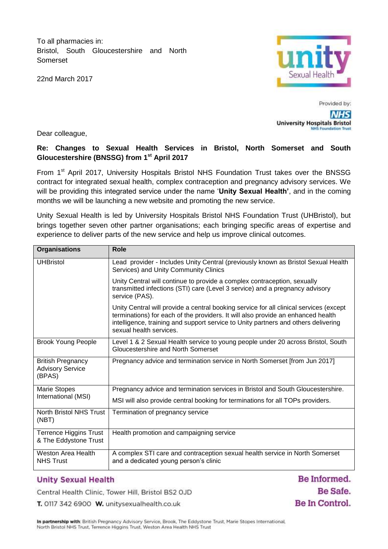To all pharmacies in: Bristol, South Gloucestershire and North Somerset

22nd March 2017



Provided by: **NHS University Hospitals Bristol NHS Foundation Trust** 

Dear colleague,

# **Re: Changes to Sexual Health Services in Bristol, North Somerset and South Gloucestershire (BNSSG) from 1st April 2017**

From 1<sup>st</sup> April 2017, University Hospitals Bristol NHS Foundation Trust takes over the BNSSG contract for integrated sexual health, complex contraception and pregnancy advisory services. We will be providing this integrated service under the name '**Unity Sexual Health'**, and in the coming months we will be launching a new website and promoting the new service.

Unity Sexual Health is led by University Hospitals Bristol NHS Foundation Trust (UHBristol), but brings together seven other partner organisations; each bringing specific areas of expertise and experience to deliver parts of the new service and help us improve clinical outcomes.

| <b>Organisations</b>                                          | <b>Role</b>                                                                                                                                                                                                                                                                                 |
|---------------------------------------------------------------|---------------------------------------------------------------------------------------------------------------------------------------------------------------------------------------------------------------------------------------------------------------------------------------------|
| <b>UHBristol</b>                                              | Lead provider - Includes Unity Central (previously known as Bristol Sexual Health<br>Services) and Unity Community Clinics                                                                                                                                                                  |
|                                                               | Unity Central will continue to provide a complex contraception, sexually<br>transmitted infections (STI) care (Level 3 service) and a pregnancy advisory<br>service (PAS).                                                                                                                  |
|                                                               | Unity Central will provide a central booking service for all clinical services (except<br>terminations) for each of the providers. It will also provide an enhanced health<br>intelligence, training and support service to Unity partners and others delivering<br>sexual health services. |
| <b>Brook Young People</b>                                     | Level 1 & 2 Sexual Health service to young people under 20 across Bristol, South<br>Gloucestershire and North Somerset                                                                                                                                                                      |
| <b>British Pregnancy</b><br><b>Advisory Service</b><br>(BPAS) | Pregnancy advice and termination service in North Somerset [from Jun 2017]                                                                                                                                                                                                                  |
| Marie Stopes<br>International (MSI)                           | Pregnancy advice and termination services in Bristol and South Gloucestershire.                                                                                                                                                                                                             |
|                                                               | MSI will also provide central booking for terminations for all TOPs providers.                                                                                                                                                                                                              |
| North Bristol NHS Trust<br>(NBT)                              | Termination of pregnancy service                                                                                                                                                                                                                                                            |
| <b>Terrence Higgins Trust</b><br>& The Eddystone Trust        | Health promotion and campaigning service                                                                                                                                                                                                                                                    |
| <b>Weston Area Health</b><br><b>NHS Trust</b>                 | A complex STI care and contraception sexual health service in North Somerset<br>and a dedicated young person's clinic                                                                                                                                                                       |

# **Unity Sexual Health**

Central Health Clinic, Tower Hill, Bristol BS2 OJD

T. 0117 342 6900 W. unitysexualhealth.co.uk

Be Informed. Be Safe. Be In Control.

In partnership with: British Pregnancy Advisory Service, Brook, The Eddystone Trust, Marie Stopes International, North Bristol NHS Trust, Terrence Higgins Trust, Weston Area Health NHS Trust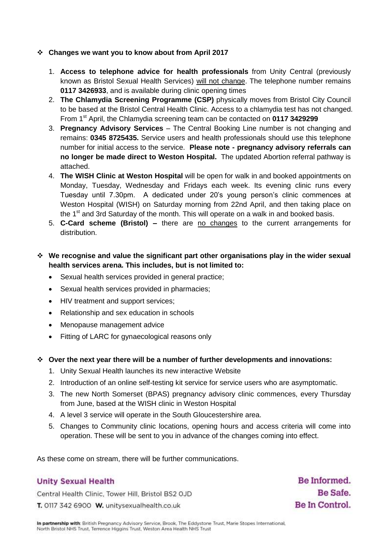#### **Changes we want you to know about from April 2017**

- 1. **Access to telephone advice for health professionals** from Unity Central (previously known as Bristol Sexual Health Services) will not change. The telephone number remains **0117 3426933**, and is available during clinic opening times
- 2. **The Chlamydia Screening Programme (CSP)** physically moves from Bristol City Council to be based at the Bristol Central Health Clinic. Access to a chlamydia test has not changed. From 1st April, the Chlamydia screening team can be contacted on **0117 3429299**
- 3. **Pregnancy Advisory Services** The Central Booking Line number is not changing and remains: **0345 8725435.** Service users and health professionals should use this telephone number for initial access to the service. **Please note - pregnancy advisory referrals can no longer be made direct to Weston Hospital.** The updated Abortion referral pathway is attached.
- 4. **The WISH Clinic at Weston Hospital** will be open for walk in and booked appointments on Monday, Tuesday, Wednesday and Fridays each week. Its evening clinic runs every Tuesday until 7.30pm. A dedicated under 20's young person's clinic commences at Weston Hospital (WISH) on Saturday morning from 22nd April, and then taking place on the  $1<sup>st</sup>$  and 3rd Saturday of the month. This will operate on a walk in and booked basis.
- 5. **C-Card scheme (Bristol) –** there are no changes to the current arrangements for distribution.

# **We recognise and value the significant part other organisations play in the wider sexual health services arena. This includes, but is not limited to:**

- Sexual health services provided in general practice;
- Sexual health services provided in pharmacies;
- HIV treatment and support services;
- Relationship and sex education in schools
- Menopause management advice
- Fitting of LARC for gynaecological reasons only
- **Over the next year there will be a number of further developments and innovations:** 
	- 1. Unity Sexual Health launches its new interactive Website
	- 2. Introduction of an online self-testing kit service for service users who are asymptomatic.
	- 3. The new North Somerset (BPAS) pregnancy advisory clinic commences, every Thursday from June, based at the WISH clinic in Weston Hospital
	- 4. A level 3 service will operate in the South Gloucestershire area.
	- 5. Changes to Community clinic locations, opening hours and access criteria will come into operation. These will be sent to you in advance of the changes coming into effect.

As these come on stream, there will be further communications.

# **Unity Sexual Health**

Central Health Clinic, Tower Hill, Bristol BS2 OJD T. 0117 342 6900 W. unitysexualhealth.co.uk

Be Informed. Be Safe. Be In Control.

In partnership with: British Pregnancy Advisory Service, Brook, The Eddystone Trust, Marie Stopes International, North Bristol NHS Trust, Terrence Higgins Trust, Weston Area Health NHS Trust